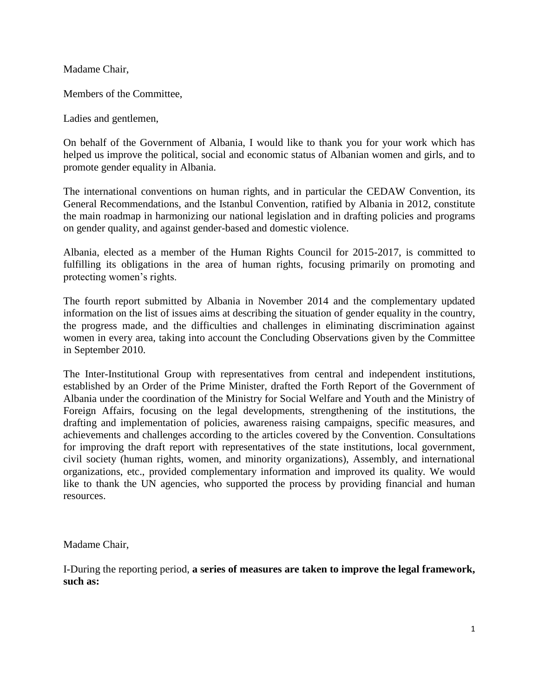Madame Chair,

Members of the Committee,

Ladies and gentlemen,

On behalf of the Government of Albania, I would like to thank you for your work which has helped us improve the political, social and economic status of Albanian women and girls, and to promote gender equality in Albania.

The international conventions on human rights, and in particular the CEDAW Convention, its General Recommendations, and the Istanbul Convention, ratified by Albania in 2012, constitute the main roadmap in harmonizing our national legislation and in drafting policies and programs on gender quality, and against gender-based and domestic violence.

Albania, elected as a member of the Human Rights Council for 2015-2017, is committed to fulfilling its obligations in the area of human rights, focusing primarily on promoting and protecting women's rights.

The fourth report submitted by Albania in November 2014 and the complementary updated information on the list of issues aims at describing the situation of gender equality in the country, the progress made, and the difficulties and challenges in eliminating discrimination against women in every area, taking into account the Concluding Observations given by the Committee in September 2010.

The Inter-Institutional Group with representatives from central and independent institutions, established by an Order of the Prime Minister, drafted the Forth Report of the Government of Albania under the coordination of the Ministry for Social Welfare and Youth and the Ministry of Foreign Affairs, focusing on the legal developments, strengthening of the institutions, the drafting and implementation of policies, awareness raising campaigns, specific measures, and achievements and challenges according to the articles covered by the Convention. Consultations for improving the draft report with representatives of the state institutions, local government, civil society (human rights, women, and minority organizations), Assembly, and international organizations, etc., provided complementary information and improved its quality. We would like to thank the UN agencies, who supported the process by providing financial and human resources.

Madame Chair,

I-During the reporting period, **a series of measures are taken to improve the legal framework, such as:**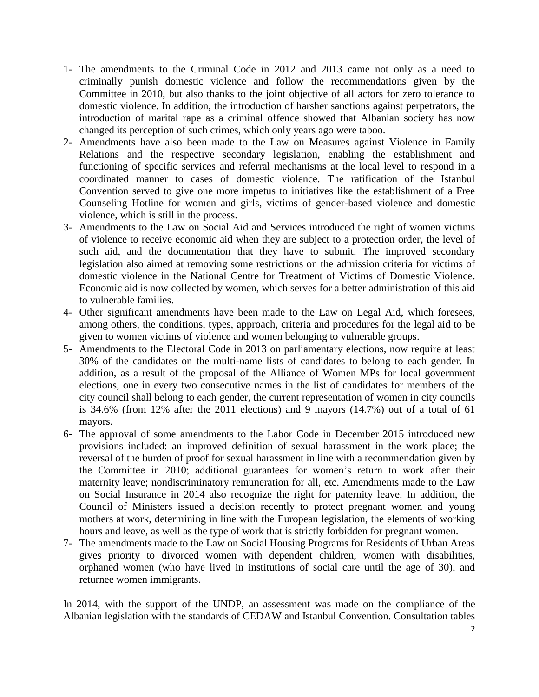- 1- The amendments to the Criminal Code in 2012 and 2013 came not only as a need to criminally punish domestic violence and follow the recommendations given by the Committee in 2010, but also thanks to the joint objective of all actors for zero tolerance to domestic violence. In addition, the introduction of harsher sanctions against perpetrators, the introduction of marital rape as a criminal offence showed that Albanian society has now changed its perception of such crimes, which only years ago were taboo.
- 2- Amendments have also been made to the Law on Measures against Violence in Family Relations and the respective secondary legislation, enabling the establishment and functioning of specific services and referral mechanisms at the local level to respond in a coordinated manner to cases of domestic violence. The ratification of the Istanbul Convention served to give one more impetus to initiatives like the establishment of a Free Counseling Hotline for women and girls, victims of gender-based violence and domestic violence, which is still in the process.
- 3- Amendments to the Law on Social Aid and Services introduced the right of women victims of violence to receive economic aid when they are subject to a protection order, the level of such aid, and the documentation that they have to submit. The improved secondary legislation also aimed at removing some restrictions on the admission criteria for victims of domestic violence in the National Centre for Treatment of Victims of Domestic Violence. Economic aid is now collected by women, which serves for a better administration of this aid to vulnerable families.
- 4- Other significant amendments have been made to the Law on Legal Aid, which foresees, among others, the conditions, types, approach, criteria and procedures for the legal aid to be given to women victims of violence and women belonging to vulnerable groups.
- 5- Amendments to the Electoral Code in 2013 on parliamentary elections, now require at least 30% of the candidates on the multi-name lists of candidates to belong to each gender. In addition, as a result of the proposal of the Alliance of Women MPs for local government elections, one in every two consecutive names in the list of candidates for members of the city council shall belong to each gender, the current representation of women in city councils is 34.6% (from 12% after the 2011 elections) and 9 mayors (14.7%) out of a total of 61 mayors.
- 6- The approval of some amendments to the Labor Code in December 2015 introduced new provisions included: an improved definition of sexual harassment in the work place; the reversal of the burden of proof for sexual harassment in line with a recommendation given by the Committee in 2010; additional guarantees for women's return to work after their maternity leave; nondiscriminatory remuneration for all, etc. Amendments made to the Law on Social Insurance in 2014 also recognize the right for paternity leave. In addition, the Council of Ministers issued a decision recently to protect pregnant women and young mothers at work, determining in line with the European legislation, the elements of working hours and leave, as well as the type of work that is strictly forbidden for pregnant women.
- 7- The amendments made to the Law on Social Housing Programs for Residents of Urban Areas gives priority to divorced women with dependent children, women with disabilities, orphaned women (who have lived in institutions of social care until the age of 30), and returnee women immigrants.

In 2014, with the support of the UNDP, an assessment was made on the compliance of the Albanian legislation with the standards of CEDAW and Istanbul Convention. Consultation tables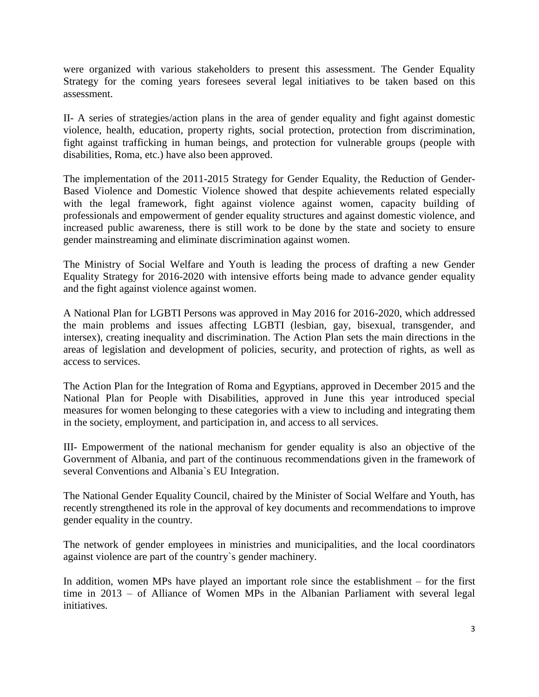were organized with various stakeholders to present this assessment. The Gender Equality Strategy for the coming years foresees several legal initiatives to be taken based on this assessment.

II- A series of strategies/action plans in the area of gender equality and fight against domestic violence, health, education, property rights, social protection, protection from discrimination, fight against trafficking in human beings, and protection for vulnerable groups (people with disabilities, Roma, etc.) have also been approved.

The implementation of the 2011-2015 Strategy for Gender Equality, the Reduction of Gender-Based Violence and Domestic Violence showed that despite achievements related especially with the legal framework, fight against violence against women, capacity building of professionals and empowerment of gender equality structures and against domestic violence, and increased public awareness, there is still work to be done by the state and society to ensure gender mainstreaming and eliminate discrimination against women.

The Ministry of Social Welfare and Youth is leading the process of drafting a new Gender Equality Strategy for 2016-2020 with intensive efforts being made to advance gender equality and the fight against violence against women.

A National Plan for LGBTI Persons was approved in May 2016 for 2016-2020, which addressed the main problems and issues affecting LGBTI (lesbian, gay, bisexual, transgender, and intersex), creating inequality and discrimination. The Action Plan sets the main directions in the areas of legislation and development of policies, security, and protection of rights, as well as access to services.

The Action Plan for the Integration of Roma and Egyptians, approved in December 2015 and the National Plan for People with Disabilities, approved in June this year introduced special measures for women belonging to these categories with a view to including and integrating them in the society, employment, and participation in, and access to all services.

III- Empowerment of the national mechanism for gender equality is also an objective of the Government of Albania, and part of the continuous recommendations given in the framework of several Conventions and Albania`s EU Integration.

The National Gender Equality Council, chaired by the Minister of Social Welfare and Youth, has recently strengthened its role in the approval of key documents and recommendations to improve gender equality in the country.

The network of gender employees in ministries and municipalities, and the local coordinators against violence are part of the country`s gender machinery.

In addition, women MPs have played an important role since the establishment – for the first time in 2013 – of Alliance of Women MPs in the Albanian Parliament with several legal initiatives.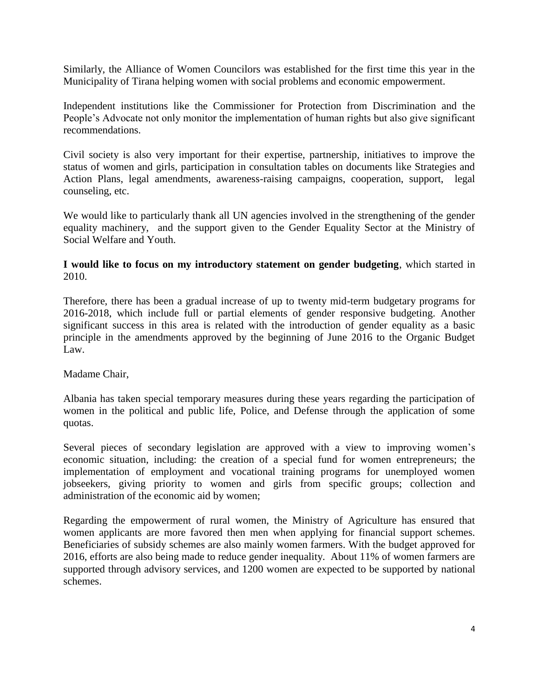Similarly, the Alliance of Women Councilors was established for the first time this year in the Municipality of Tirana helping women with social problems and economic empowerment.

Independent institutions like the Commissioner for Protection from Discrimination and the People's Advocate not only monitor the implementation of human rights but also give significant recommendations.

Civil society is also very important for their expertise, partnership, initiatives to improve the status of women and girls, participation in consultation tables on documents like Strategies and Action Plans, legal amendments, awareness-raising campaigns, cooperation, support, legal counseling, etc.

We would like to particularly thank all UN agencies involved in the strengthening of the gender equality machinery, and the support given to the Gender Equality Sector at the Ministry of Social Welfare and Youth.

**I would like to focus on my introductory statement on gender budgeting**, which started in 2010.

Therefore, there has been a gradual increase of up to twenty mid-term budgetary programs for 2016-2018, which include full or partial elements of gender responsive budgeting. Another significant success in this area is related with the introduction of gender equality as a basic principle in the amendments approved by the beginning of June 2016 to the Organic Budget Law.

Madame Chair,

Albania has taken special temporary measures during these years regarding the participation of women in the political and public life, Police, and Defense through the application of some quotas.

Several pieces of secondary legislation are approved with a view to improving women's economic situation, including: the creation of a special fund for women entrepreneurs; the implementation of employment and vocational training programs for unemployed women jobseekers, giving priority to women and girls from specific groups; collection and administration of the economic aid by women;

Regarding the empowerment of rural women, the Ministry of Agriculture has ensured that women applicants are more favored then men when applying for financial support schemes. Beneficiaries of subsidy schemes are also mainly women farmers. With the budget approved for 2016, efforts are also being made to reduce gender inequality. About 11% of women farmers are supported through advisory services, and 1200 women are expected to be supported by national schemes.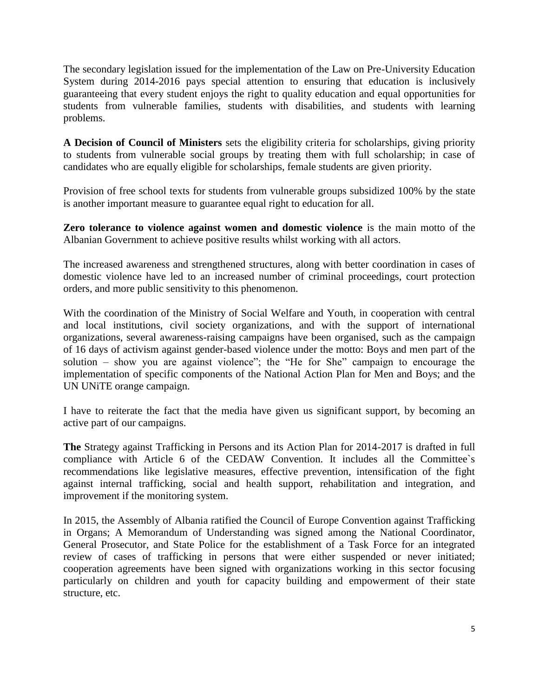The secondary legislation issued for the implementation of the Law on Pre-University Education System during 2014-2016 pays special attention to ensuring that education is inclusively guaranteeing that every student enjoys the right to quality education and equal opportunities for students from vulnerable families, students with disabilities, and students with learning problems.

**A Decision of Council of Ministers** sets the eligibility criteria for scholarships, giving priority to students from vulnerable social groups by treating them with full scholarship; in case of candidates who are equally eligible for scholarships, female students are given priority.

Provision of free school texts for students from vulnerable groups subsidized 100% by the state is another important measure to guarantee equal right to education for all.

**Zero tolerance to violence against women and domestic violence** is the main motto of the Albanian Government to achieve positive results whilst working with all actors.

The increased awareness and strengthened structures, along with better coordination in cases of domestic violence have led to an increased number of criminal proceedings, court protection orders, and more public sensitivity to this phenomenon.

With the coordination of the Ministry of Social Welfare and Youth, in cooperation with central and local institutions, civil society organizations, and with the support of international organizations, several awareness-raising campaigns have been organised, such as the campaign of 16 days of activism against gender-based violence under the motto: Boys and men part of the solution – show you are against violence"; the "He for She" campaign to encourage the implementation of specific components of the National Action Plan for Men and Boys; and the UN UNiTE orange campaign.

I have to reiterate the fact that the media have given us significant support, by becoming an active part of our campaigns.

**The** Strategy against Trafficking in Persons and its Action Plan for 2014-2017 is drafted in full compliance with Article 6 of the CEDAW Convention. It includes all the Committee`s recommendations like legislative measures, effective prevention, intensification of the fight against internal trafficking, social and health support, rehabilitation and integration, and improvement if the monitoring system.

In 2015, the Assembly of Albania ratified the Council of Europe Convention against Trafficking in Organs; A Memorandum of Understanding was signed among the National Coordinator, General Prosecutor, and State Police for the establishment of a Task Force for an integrated review of cases of trafficking in persons that were either suspended or never initiated; cooperation agreements have been signed with organizations working in this sector focusing particularly on children and youth for capacity building and empowerment of their state structure, etc.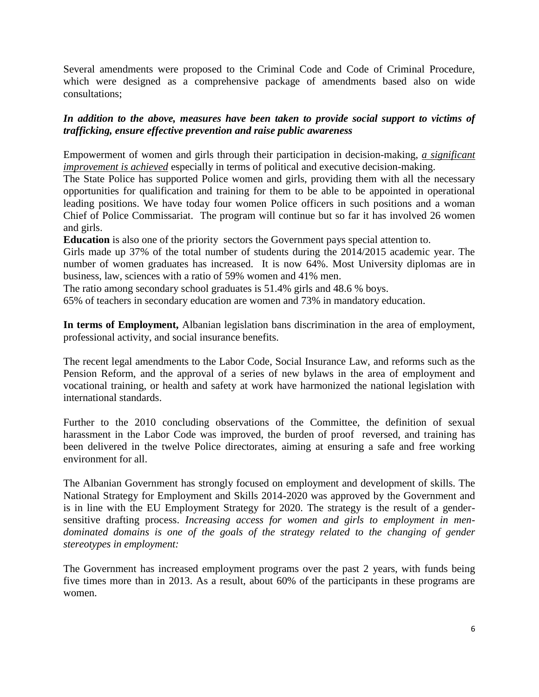Several amendments were proposed to the Criminal Code and Code of Criminal Procedure, which were designed as a comprehensive package of amendments based also on wide consultations;

## *In addition to the above, measures have been taken to provide social support to victims of trafficking, ensure effective prevention and raise public awareness*

Empowerment of women and girls through their participation in decision-making, *a significant improvement is achieved* especially in terms of political and executive decision-making.

The State Police has supported Police women and girls, providing them with all the necessary opportunities for qualification and training for them to be able to be appointed in operational leading positions. We have today four women Police officers in such positions and a woman Chief of Police Commissariat. The program will continue but so far it has involved 26 women and girls.

**Education** is also one of the priority sectors the Government pays special attention to.

Girls made up 37% of the total number of students during the 2014/2015 academic year. The number of women graduates has increased. It is now 64%. Most University diplomas are in business, law, sciences with a ratio of 59% women and 41% men.

The ratio among secondary school graduates is 51.4% girls and 48.6 % boys.

65% of teachers in secondary education are women and 73% in mandatory education.

**In terms of Employment,** Albanian legislation bans discrimination in the area of employment, professional activity, and social insurance benefits.

The recent legal amendments to the Labor Code, Social Insurance Law, and reforms such as the Pension Reform, and the approval of a series of new bylaws in the area of employment and vocational training, or health and safety at work have harmonized the national legislation with international standards.

Further to the 2010 concluding observations of the Committee, the definition of sexual harassment in the Labor Code was improved, the burden of proof reversed, and training has been delivered in the twelve Police directorates, aiming at ensuring a safe and free working environment for all.

The Albanian Government has strongly focused on employment and development of skills. The National Strategy for Employment and Skills 2014-2020 was approved by the Government and is in line with the EU Employment Strategy for 2020. The strategy is the result of a gendersensitive drafting process. *Increasing access for women and girls to employment in men*dominated domains is one of the goals of the strategy related to the changing of gender *stereotypes in employment:*

The Government has increased employment programs over the past 2 years, with funds being five times more than in 2013. As a result, about 60% of the participants in these programs are women.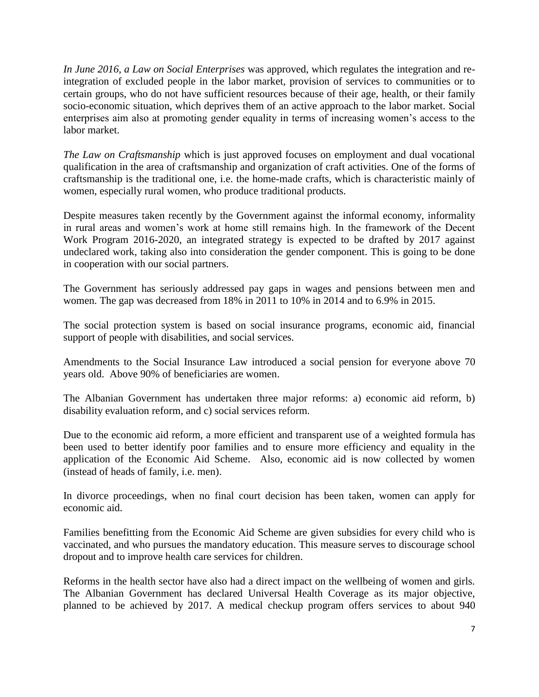*In June 2016, a Law on Social Enterprises* was approved, which regulates the integration and reintegration of excluded people in the labor market, provision of services to communities or to certain groups, who do not have sufficient resources because of their age, health, or their family socio-economic situation, which deprives them of an active approach to the labor market. Social enterprises aim also at promoting gender equality in terms of increasing women's access to the labor market.

*The Law on Craftsmanship* which is just approved focuses on employment and dual vocational qualification in the area of craftsmanship and organization of craft activities. One of the forms of craftsmanship is the traditional one, i.e. the home-made crafts, which is characteristic mainly of women, especially rural women, who produce traditional products.

Despite measures taken recently by the Government against the informal economy, informality in rural areas and women's work at home still remains high. In the framework of the Decent Work Program 2016-2020, an integrated strategy is expected to be drafted by 2017 against undeclared work, taking also into consideration the gender component. This is going to be done in cooperation with our social partners.

The Government has seriously addressed pay gaps in wages and pensions between men and women. The gap was decreased from 18% in 2011 to 10% in 2014 and to 6.9% in 2015.

The social protection system is based on social insurance programs, economic aid, financial support of people with disabilities, and social services.

Amendments to the Social Insurance Law introduced a social pension for everyone above 70 years old. Above 90% of beneficiaries are women.

The Albanian Government has undertaken three major reforms: a) economic aid reform, b) disability evaluation reform, and c) social services reform.

Due to the economic aid reform, a more efficient and transparent use of a weighted formula has been used to better identify poor families and to ensure more efficiency and equality in the application of the Economic Aid Scheme. Also, economic aid is now collected by women (instead of heads of family, i.e. men).

In divorce proceedings, when no final court decision has been taken, women can apply for economic aid.

Families benefitting from the Economic Aid Scheme are given subsidies for every child who is vaccinated, and who pursues the mandatory education. This measure serves to discourage school dropout and to improve health care services for children.

Reforms in the health sector have also had a direct impact on the wellbeing of women and girls. The Albanian Government has declared Universal Health Coverage as its major objective, planned to be achieved by 2017. A medical checkup program offers services to about 940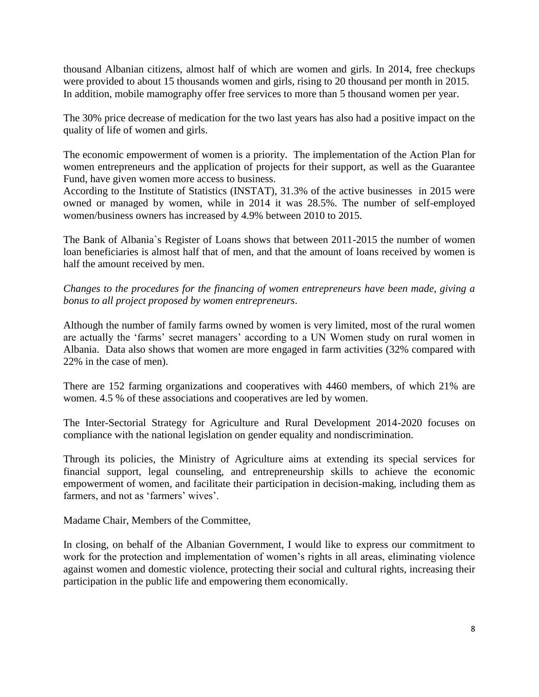thousand Albanian citizens, almost half of which are women and girls. In 2014, free checkups were provided to about 15 thousands women and girls, rising to 20 thousand per month in 2015. In addition, mobile mamography offer free services to more than 5 thousand women per year.

The 30% price decrease of medication for the two last years has also had a positive impact on the quality of life of women and girls.

The economic empowerment of women is a priority. The implementation of the Action Plan for women entrepreneurs and the application of projects for their support, as well as the Guarantee Fund, have given women more access to business.

According to the Institute of Statistics (INSTAT), 31.3% of the active businesses in 2015 were owned or managed by women, while in 2014 it was 28.5%. The number of self-employed women/business owners has increased by 4.9% between 2010 to 2015.

The Bank of Albania`s Register of Loans shows that between 2011-2015 the number of women loan beneficiaries is almost half that of men, and that the amount of loans received by women is half the amount received by men.

*Changes to the procedures for the financing of women entrepreneurs have been made, giving a bonus to all project proposed by women entrepreneurs*.

Although the number of family farms owned by women is very limited, most of the rural women are actually the 'farms' secret managers' according to a UN Women study on rural women in Albania. Data also shows that women are more engaged in farm activities (32% compared with 22% in the case of men).

There are 152 farming organizations and cooperatives with 4460 members, of which 21% are women. 4.5 % of these associations and cooperatives are led by women.

The Inter-Sectorial Strategy for Agriculture and Rural Development 2014-2020 focuses on compliance with the national legislation on gender equality and nondiscrimination.

Through its policies, the Ministry of Agriculture aims at extending its special services for financial support, legal counseling, and entrepreneurship skills to achieve the economic empowerment of women, and facilitate their participation in decision-making, including them as farmers, and not as 'farmers' wives'.

Madame Chair, Members of the Committee,

In closing, on behalf of the Albanian Government, I would like to express our commitment to work for the protection and implementation of women's rights in all areas, eliminating violence against women and domestic violence, protecting their social and cultural rights, increasing their participation in the public life and empowering them economically.